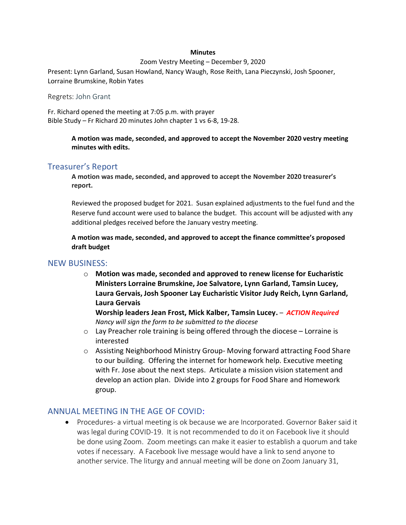#### **Minutes**

#### Zoom Vestry Meeting – December 9, 2020

Present: Lynn Garland, Susan Howland, Nancy Waugh, Rose Reith, Lana Pieczynski, Josh Spooner, Lorraine Brumskine, Robin Yates

Regrets: John Grant

Fr. Richard opened the meeting at 7:05 p.m. with prayer Bible Study – Fr Richard 20 minutes John chapter 1 vs 6-8, 19-28.

> **A motion was made, seconded, and approved to accept the November 2020 vestry meeting minutes with edits.**

### Treasurer's Report

**A motion was made, seconded, and approved to accept the November 2020 treasurer's report.**

Reviewed the proposed budget for 2021. Susan explained adjustments to the fuel fund and the Reserve fund account were used to balance the budget. This account will be adjusted with any additional pledges received before the January vestry meeting.

**A motion was made, seconded, and approved to accept the finance committee's proposed draft budget**

### NEW BUSINESS:

o **Motion was made, seconded and approved to renew license for Eucharistic Ministers Lorraine Brumskine, Joe Salvatore, Lynn Garland, Tamsin Lucey, Laura Gervais, Josh Spooner Lay Eucharistic Visitor Judy Reich, Lynn Garland, Laura Gervais**

**Worship leaders Jean Frost, Mick Kalber, Tamsin Lucey.** – *ACTION Required Nancy will sign the form to be submitted to the diocese*

- o Lay Preacher role training is being offered through the diocese Lorraine is interested
- o Assisting Neighborhood Ministry Group- Moving forward attracting Food Share to our building. Offering the internet for homework help. Executive meeting with Fr. Jose about the next steps. Articulate a mission vision statement and develop an action plan. Divide into 2 groups for Food Share and Homework group.

## ANNUAL MEETING IN THE AGE OF COVID:

 Procedures- a virtual meeting is ok because we are Incorporated. Governor Baker said it was legal during COVID-19. It is not recommended to do it on Facebook live it should be done using Zoom. Zoom meetings can make it easier to establish a quorum and take votes if necessary. A Facebook live message would have a link to send anyone to another service. The liturgy and annual meeting will be done on Zoom January 31,